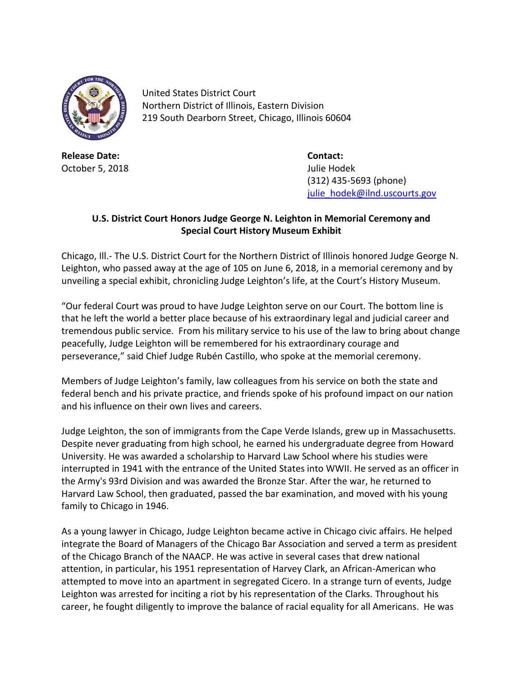

United States District Court Northern District of Illinois, Eastern Division 219 South Dearborn Street, Chicago, Illinois 60604

**Release Date: Contact:** October 5, 2018 **Julie Hodek** 

(312) 435-5693 (phone) [julie\\_hodek@ilnd.uscourts.gov](mailto:julie_hodek@ilnd.uscourts.gov)

## **U.S. District Court Honors Judge George N. Leighton in Memorial Ceremony and Special Court History Museum Exhibit**

Chicago, Ill.- The U.S. District Court for the Northern District of Illinois honored Judge George N. Leighton, who passed away at the age of 105 on June 6, 2018, in a memorial ceremony and by unveiling a special exhibit, chronicling Judge Leighton's life, at the Court's History Museum.

"Our federal Court was proud to have Judge Leighton serve on our Court. The bottom line is that he left the world a better place because of his extraordinary legal and judicial career and tremendous public service. From his military service to his use of the law to bring about change peacefully, Judge Leighton will be remembered for his extraordinary courage and perseverance," said Chief Judge Rubén Castillo, who spoke at the memorial ceremony.

Members of Judge Leighton's family, law colleagues from his service on both the state and federal bench and his private practice, and friends spoke of his profound impact on our nation and his influence on their own lives and careers.

Judge Leighton, the son of immigrants from the Cape Verde Islands, grew up in Massachusetts. Despite never graduating from high school, he earned his undergraduate degree from Howard University. He was awarded a scholarship to Harvard Law School where his studies were interrupted in 1941 with the entrance of the United States into WWII. He served as an officer in the Army's 93rd Division and was awarded the Bronze Star. After the war, he returned to Harvard Law School, then graduated, passed the bar examination, and moved with his young family to Chicago in 1946.

As a young lawyer in Chicago, Judge Leighton became active in Chicago civic affairs. He helped integrate the Board of Managers of the Chicago Bar Association and served a term as president of the Chicago Branch of the NAACP. He was active in several cases that drew national attention, in particular, his 1951 representation of Harvey Clark, an African-American who attempted to move into an apartment in segregated Cicero. In a strange turn of events, Judge Leighton was arrested for inciting a riot by his representation of the Clarks. Throughout his career, he fought diligently to improve the balance of racial equality for all Americans. He was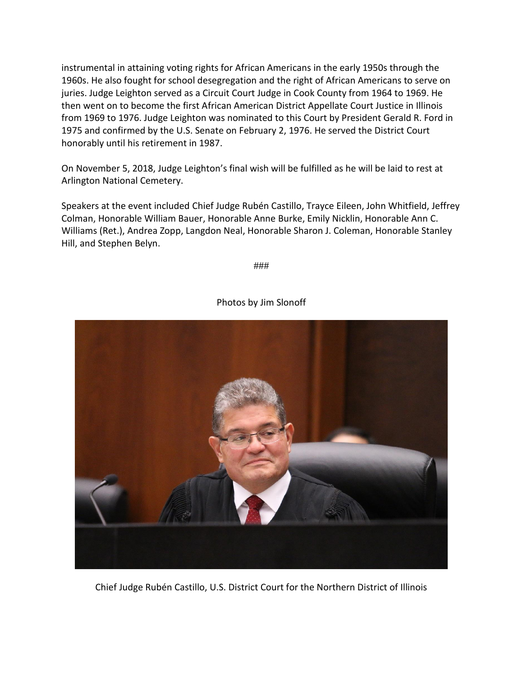instrumental in attaining voting rights for African Americans in the early 1950s through the 1960s. He also fought for school desegregation and the right of African Americans to serve on juries. Judge Leighton served as a Circuit Court Judge in Cook County from 1964 to 1969. He then went on to become the first African American District Appellate Court Justice in Illinois from 1969 to 1976. Judge Leighton was nominated to this Court by President Gerald R. Ford in 1975 and confirmed by the U.S. Senate on February 2, 1976. He served the District Court honorably until his retirement in 1987.

On November 5, 2018, Judge Leighton's final wish will be fulfilled as he will be laid to rest at Arlington National Cemetery.

Speakers at the event included Chief Judge Rubén Castillo, Trayce Eileen, John Whitfield, Jeffrey Colman, Honorable William Bauer, Honorable Anne Burke, Emily Nicklin, Honorable Ann C. Williams (Ret.), Andrea Zopp, Langdon Neal, Honorable Sharon J. Coleman, Honorable Stanley Hill, and Stephen Belyn.

###



## Photos by Jim Slonoff

Chief Judge Rubén Castillo, U.S. District Court for the Northern District of Illinois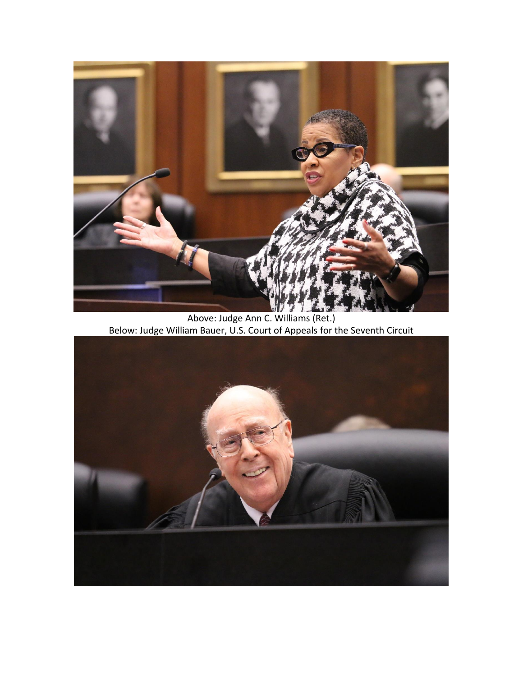

Above: Judge Ann C. Williams (Ret.) Below: Judge William Bauer, U.S. Court of Appeals for the Seventh Circuit